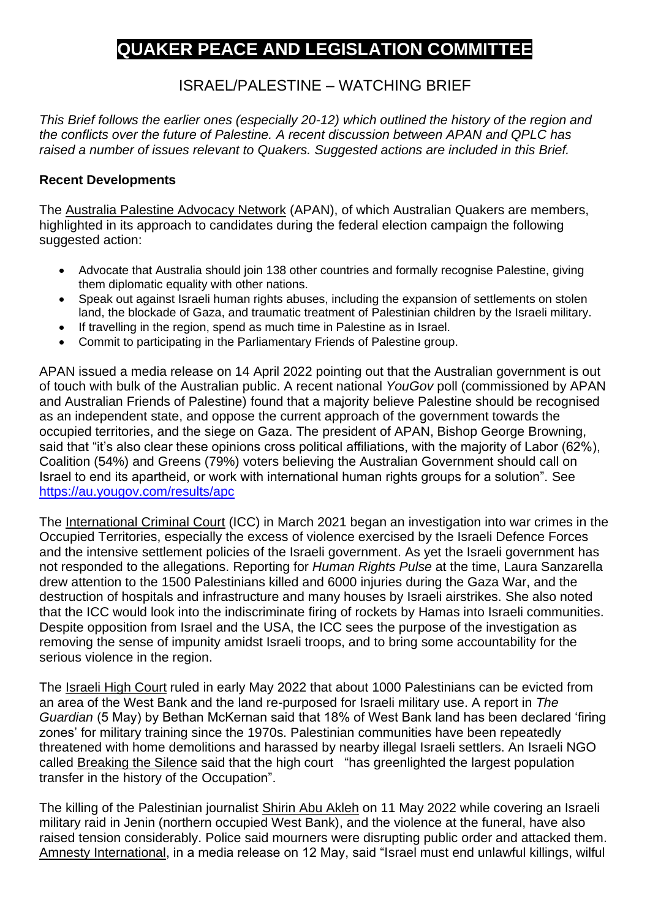# **QUAKER PEACE AND LEGISLATION COMMITTEE**

## ISRAEL/PALESTINE – WATCHING BRIEF

*This Brief follows the earlier ones (especially 20-12) which outlined the history of the region and the conflicts over the future of Palestine. A recent discussion between APAN and QPLC has raised a number of issues relevant to Quakers. Suggested actions are included in this Brief.*

#### **Recent Developments**

The Australia Palestine Advocacy Network (APAN), of which Australian Quakers are members, highlighted in its approach to candidates during the federal election campaign the following suggested action:

- Advocate that Australia should join 138 other countries and formally recognise Palestine, giving them diplomatic equality with other nations.
- Speak out against Israeli human rights abuses, including the expansion of settlements on stolen land, the blockade of Gaza, and traumatic treatment of Palestinian children by the Israeli military.
- If travelling in the region, spend as much time in Palestine as in Israel.
- Commit to participating in the Parliamentary Friends of Palestine group.

APAN issued a media release on 14 April 2022 pointing out that the Australian government is out of touch with bulk of the Australian public. A recent national *YouGov* poll (commissioned by APAN and Australian Friends of Palestine) found that a majority believe Palestine should be recognised as an independent state, and oppose the current approach of the government towards the occupied territories, and the siege on Gaza. The president of APAN, Bishop George Browning, said that "it's also clear these opinions cross political affiliations, with the majority of Labor (62%), Coalition (54%) and Greens (79%) voters believing the Australian Government should call on Israel to end its apartheid, or work with international human rights groups for a solution". See <https://au.yougov.com/results/apc>

The International Criminal Court (ICC) in March 2021 began an investigation into war crimes in the Occupied Territories, especially the excess of violence exercised by the Israeli Defence Forces and the intensive settlement policies of the Israeli government. As yet the Israeli government has not responded to the allegations. Reporting for *Human Rights Pulse* at the time, Laura Sanzarella drew attention to the 1500 Palestinians killed and 6000 injuries during the Gaza War, and the destruction of hospitals and infrastructure and many houses by Israeli airstrikes. She also noted that the ICC would look into the indiscriminate firing of rockets by Hamas into Israeli communities. Despite opposition from Israel and the USA, the ICC sees the purpose of the investigation as removing the sense of impunity amidst Israeli troops, and to bring some accountability for the serious violence in the region.

The Israeli High Court ruled in early May 2022 that about 1000 Palestinians can be evicted from an area of the West Bank and the land re-purposed for Israeli military use. A report in *The Guardian* (5 May) by Bethan McKernan said that 18% of West Bank land has been declared 'firing zones' for military training since the 1970s. Palestinian communities have been repeatedly threatened with home demolitions and harassed by nearby illegal Israeli settlers. An Israeli NGO called Breaking the Silence said that the high court "has greenlighted the largest population transfer in the history of the Occupation".

The killing of the Palestinian journalist Shirin Abu Akleh on 11 May 2022 while covering an Israeli military raid in Jenin (northern occupied West Bank), and the violence at the funeral, have also raised tension considerably. Police said mourners were disrupting public order and attacked them. Amnesty International, in a media release on 12 May, said "Israel must end unlawful killings, wilful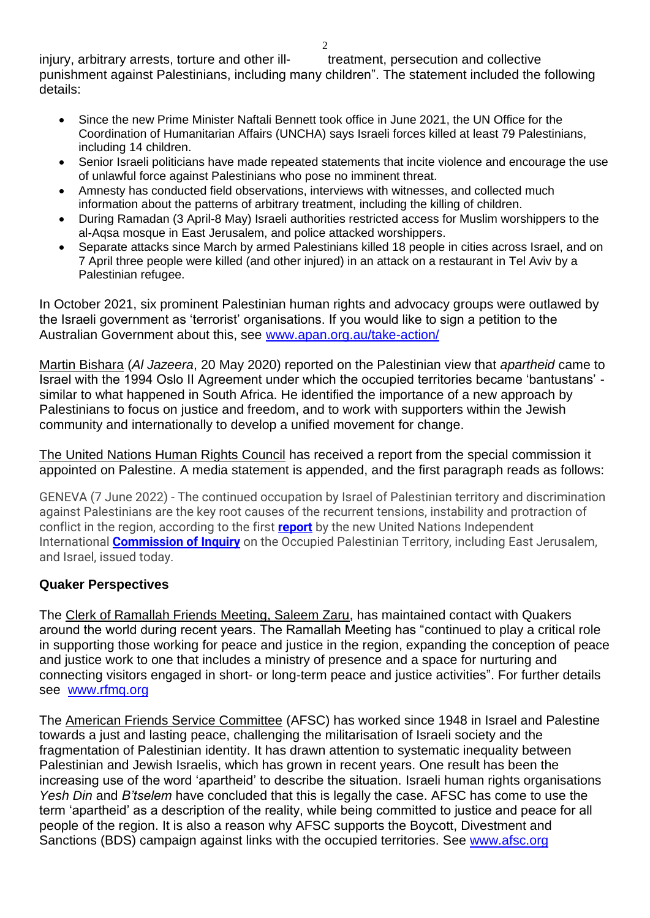$\mathcal{D}$ 

injury, arbitrary arrests, torture and other ill-<br>treatment, persecution and collective punishment against Palestinians, including many children". The statement included the following details:

- Since the new Prime Minister Naftali Bennett took office in June 2021, the UN Office for the Coordination of Humanitarian Affairs (UNCHA) says Israeli forces killed at least 79 Palestinians, including 14 children.
- Senior Israeli politicians have made repeated statements that incite violence and encourage the use of unlawful force against Palestinians who pose no imminent threat.
- Amnesty has conducted field observations, interviews with witnesses, and collected much information about the patterns of arbitrary treatment, including the killing of children.
- During Ramadan (3 April-8 May) Israeli authorities restricted access for Muslim worshippers to the al-Aqsa mosque in East Jerusalem, and police attacked worshippers.
- Separate attacks since March by armed Palestinians killed 18 people in cities across Israel, and on 7 April three people were killed (and other injured) in an attack on a restaurant in Tel Aviv by a Palestinian refugee.

In October 2021, six prominent Palestinian human rights and advocacy groups were outlawed by the Israeli government as 'terrorist' organisations. If you would like to sign a petition to the Australian Government about this, see [www.apan.org.au/take-action/](http://www.apan.org.au/take-action/)

Martin Bishara (*Al Jazeera*, 20 May 2020) reported on the Palestinian view that *apartheid* came to Israel with the 1994 Oslo II Agreement under which the occupied territories became 'bantustans' similar to what happened in South Africa. He identified the importance of a new approach by Palestinians to focus on justice and freedom, and to work with supporters within the Jewish community and internationally to develop a unified movement for change.

The United Nations Human Rights Council has received a report from the special commission it appointed on Palestine. A media statement is appended, and the first paragraph reads as follows:

GENEVA (7 June 2022) - The continued occupation by Israel of Palestinian territory and discrimination against Palestinians are the key root causes of the recurrent tensions, instability and protraction of conflict in the region, according to the first **[report](https://undocs.org/A/HRC/50/21)** by the new United Nations Independent International **[Commission of Inquiry](https://www.ohchr.org/en/hr-bodies/hrc/co-israel/index)** on the Occupied Palestinian Territory, including East Jerusalem, and Israel, issued today.

#### **Quaker Perspectives**

The Clerk of Ramallah Friends Meeting, Saleem Zaru, has maintained contact with Quakers around the world during recent years. The Ramallah Meeting has "continued to play a critical role in supporting those working for peace and justice in the region, expanding the conception of peace and justice work to one that includes a ministry of presence and a space for nurturing and connecting visitors engaged in short- or long-term peace and justice activities". For further details see [www.rfmq.org](http://www.rfmq.org/)

The American Friends Service Committee (AFSC) has worked since 1948 in Israel and Palestine towards a just and lasting peace, challenging the militarisation of Israeli society and the fragmentation of Palestinian identity. It has drawn attention to systematic inequality between Palestinian and Jewish Israelis, which has grown in recent years. One result has been the increasing use of the word 'apartheid' to describe the situation. Israeli human rights organisations *Yesh Din* and *B'tselem* have concluded that this is legally the case. AFSC has come to use the term 'apartheid' as a description of the reality, while being committed to justice and peace for all people of the region. It is also a reason why AFSC supports the Boycott, Divestment and Sanctions (BDS) campaign against links with the occupied territories. See [www.afsc.org](http://www.afsc.org/)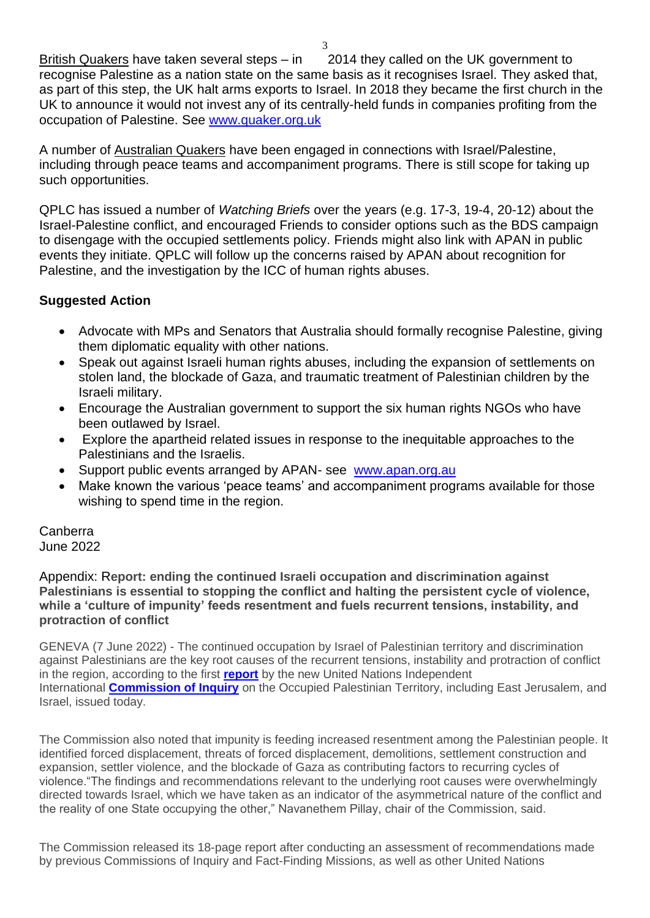British Quakers have taken several steps – in 2014 they called on the UK government to recognise Palestine as a nation state on the same basis as it recognises Israel. They asked that, as part of this step, the UK halt arms exports to Israel. In 2018 they became the first church in the UK to announce it would not invest any of its centrally-held funds in companies profiting from the occupation of Palestine. See [www.quaker.org.uk](http://www.quaker.org.uk/)

A number of Australian Quakers have been engaged in connections with Israel/Palestine, including through peace teams and accompaniment programs. There is still scope for taking up such opportunities.

QPLC has issued a number of *Watching Briefs* over the years (e.g. 17-3, 19-4, 20-12) about the Israel-Palestine conflict, and encouraged Friends to consider options such as the BDS campaign to disengage with the occupied settlements policy. Friends might also link with APAN in public events they initiate. QPLC will follow up the concerns raised by APAN about recognition for Palestine, and the investigation by the ICC of human rights abuses.

### **Suggested Action**

- Advocate with MPs and Senators that Australia should formally recognise Palestine, giving them diplomatic equality with other nations.
- Speak out against Israeli human rights abuses, including the expansion of settlements on stolen land, the blockade of Gaza, and traumatic treatment of Palestinian children by the Israeli military.
- Encourage the Australian government to support the six human rights NGOs who have been outlawed by Israel.
- Explore the apartheid related issues in response to the inequitable approaches to the Palestinians and the Israelis.
- Support public events arranged by APAN- see [www.apan.org.au](http://www.apan.org.au/)
- Make known the various 'peace teams' and accompaniment programs available for those wishing to spend time in the region.

Canberra June 2022

Appendix: R**eport: ending the continued Israeli occupation and discrimination against Palestinians is essential to stopping the conflict and halting the persistent cycle of violence, while a 'culture of impunity' feeds resentment and fuels recurrent tensions, instability, and protraction of conflict**

GENEVA (7 June 2022) - The continued occupation by Israel of Palestinian territory and discrimination against Palestinians are the key root causes of the recurrent tensions, instability and protraction of conflict in the region, according to the first **[report](https://undocs.org/A/HRC/50/21)** by the new United Nations Independent International **[Commission of Inquiry](https://www.ohchr.org/en/hr-bodies/hrc/co-israel/index)** on the Occupied Palestinian Territory, including East Jerusalem, and Israel, issued today.

The Commission also noted that impunity is feeding increased resentment among the Palestinian people. It identified forced displacement, threats of forced displacement, demolitions, settlement construction and expansion, settler violence, and the blockade of Gaza as contributing factors to recurring cycles of violence."The findings and recommendations relevant to the underlying root causes were overwhelmingly directed towards Israel, which we have taken as an indicator of the asymmetrical nature of the conflict and the reality of one State occupying the other," Navanethem Pillay, chair of the Commission, said.

The Commission released its 18-page report after conducting an assessment of recommendations made by previous Commissions of Inquiry and Fact-Finding Missions, as well as other United Nations